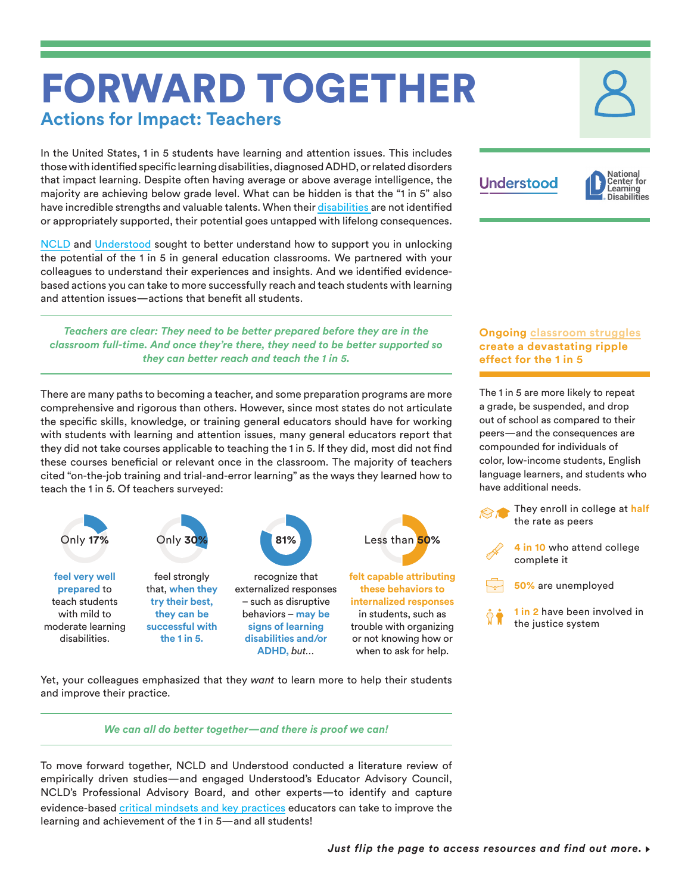# FORWARD TOGETHER **Actions for Impact: Teachers**

In the United States, 1 in 5 students have learning and attention issues. This includes those with identified specific learning disabilities, diagnosed ADHD, or related disorders that impact learning. Despite often having average or above average intelligence, the majority are achieving below grade level. What can be hidden is that the "1 in 5" also have incredible strengths and valuable talents. When their [disabilities a](https://www.ncld.org/identifying-struggling-students)re not identified or appropriately supported, their potential goes untapped with lifelong consequences.

[NCLD](https://www.ncld.org/) and [Understood](https://www.understood.org/en) sought to better understand how to support you in unlocking the potential of the 1 in 5 in general education classrooms. We partnered with your colleagues to understand their experiences and insights. And we identified evidencebased actions you can take to more successfully reach and teach students with learning and attention issues—actions that benefit all students.

*Teachers are clear: They need to be better prepared before they are in the classroom full-time. And once they're there, they need to be better supported so they can better reach and teach the 1 in 5.* 

There are many paths to becoming a teacher, and some preparation programs are more comprehensive and rigorous than others. However, since most states do not articulate the specific skills, knowledge, or training general educators should have for working with students with learning and attention issues, many general educators report that they did not take courses applicable to teaching the 1 in 5. If they did, most did not find these courses beneficial or relevant once in the classroom. The majority of teachers cited "on-the-job training and trial-and-error learning" as the ways they learned how to teach the 1 in 5. Of teachers surveyed:



Yet, your colleagues emphasized that they *want* to learn more to help their students and improve their practice.

*We can all do better together—and there is proof we can!*

To move forward together, NCLD and Understood conducted a literature review of empirically driven studies—and engaged Understood's Educator Advisory Council, NCLD's Professional Advisory Board, and other experts—to identify and capture evidence-based [critical mindsets and key practices](http://www.ncld.org/forwardtogetherkeyfindings) educators can take to improve the learning and achievement of the 1 in 5—and all students!



### **Ongoing [classroom struggles](https://www.ncld.org/supporting-academic-success) create a devastating ripple effect for the 1 in 5**

The 1 in 5 are more likely to repeat a grade, be suspended, and drop out of school as compared to their peers—and the consequences are compounded for individuals of color, low-income students, English language learners, and students who have additional needs.

They enroll in college at **half** the rate as peers

**4 in 10** who attend college complete it

**50%** are unemployed

**1 in 2** have been involved in the justice system